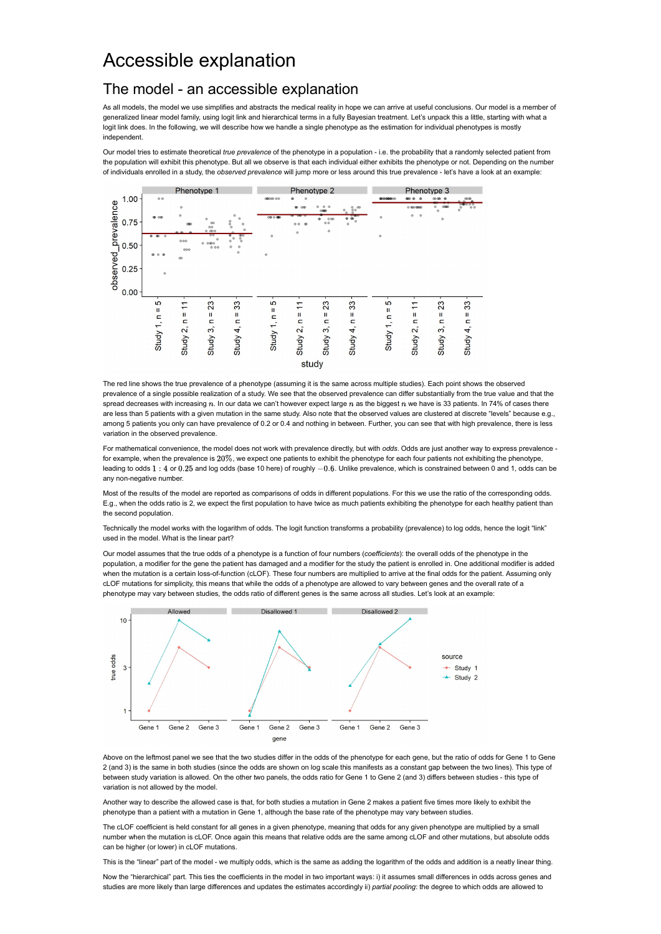## Accessible explanation

## The model - an accessible explanation

As all models, the model we use simplifies and abstracts the medical reality in hope we can arrive at useful conclusions. Our model is a member of generalized linear model family, using logit link and hierarchical terms in a fully Bayesian treatment. Let's unpack this a little, starting with what a logit link does. In the following, we will describe how we handle a single phenotype as the estimation for individual phenotypes is mostly independent.

Our model tries to estimate theoretical true prevalence of the phenotype in a population - i.e. the probability that a randomly selected patient from the population will exhibit this phenotype. But all we observe is that each individual either exhibits the phenotype or not. Depending on the number of individuals enrolled in a study, the observed prevalence will jump more or less around this true prevalence - let's have a look at an example:



The red line shows the true prevalence of a phenotype (assuming it is the same across multiple studies). Each point shows the observed prevalence of a single possible realization of a study. We see that the observed prevalence can differ substantially from the true value and that the spread decreases with increasing  $n$ . In our data we can't however expect large  $n$  as the biggest  $n$  we have is 33 patients. In 74% of cases there are less than 5 patients with a given mutation in the same study. Also note that the observed values are clustered at discrete "levels" because e.g., among 5 patients you only can have prevalence of 0.2 or 0.4 and nothing in between. Further, you can see that with high prevalence, there is less variation in the observed prevalence.

For mathematical convenience, the model does not work with prevalence directly, but with odds. Odds are just another way to express prevalence for example, when the prevalence is  $20\%$ , we expect one patients to exhibit the phenotype for each four patients not exhibiting the phenotype, leading to odds 1 : 4 or 0.25 and log odds (base 10 here) of roughly  $-0.6$ . Unlike prevalence, which is constrained between 0 and 1, odds can be any non-negative number.

Most of the results of the model are reported as comparisons of odds in different populations. For this we use the ratio of the corresponding odds. E.g., when the odds ratio is 2, we expect the first population to have twice as much patients exhibiting the phenotype for each healthy patient than the second population.

Technically the model works with the logarithm of odds. The logit function transforms a probability (prevalence) to log odds, hence the logit "link" used in the model. What is the linear part?

Our model assumes that the true odds of a phenotype is a function of four numbers (coefficients): the overall odds of the phenotype in the population, a modifier for the gene the patient has damaged and a modifier for the study the patient is enrolled in. One additional modifier is added when the mutation is a certain loss-of-function (cLOF). These four numbers are multiplied to arrive at the final odds for the patient. Assuming only cLOF mutations for simplicity, this means that while the odds of a phenotype are allowed to vary between genes and the overall rate of a phenotype may vary between studies, the odds ratio of different genes is the same across all studies. Let's look at an example:



Above on the leftmost panel we see that the two studies differ in the odds of the phenotype for each gene, but the ratio of odds for Gene 1 to Gene 2 (and 3) is the same in both studies (since the odds are shown on log scale this manifests as a constant gap between the two lines). This type of between study variation is allowed. On the other two panels, the odds ratio for Gene 1 to Gene 2 (and 3) differs between studies - this type of variation is not allowed by the model.

Another way to describe the allowed case is that, for both studies a mutation in Gene 2 makes a patient five times more likely to exhibit the phenotype than a patient with a mutation in Gene 1, although the base rate of the phenotype may vary between studies.

The cLOF coefficient is held constant for all genes in a given phenotype, meaning that odds for any given phenotype are multiplied by a small number when the mutation is cLOF. Once again this means that relative odds are the same among cLOF and other mutations, but absolute odds can be higher (or lower) in cLOF mutations.

This is the "linear" part of the model - we multiply odds, which is the same as adding the logarithm of the odds and addition is a neatly linear thing.

Now the "hierarchical" part. This ties the coefficients in the model in two important ways: i) it assumes small differences in odds across genes and studies are more likely than large differences and updates the estimates accordingly ii) partial pooling: the degree to which odds are allowed to